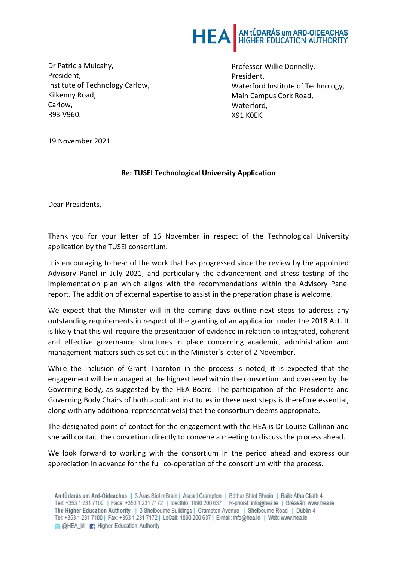

Dr Patricia Mulcahy, President, Institute of Technology Carlow, Kilkenny Road, Carlow, R93 V960.

Professor Willie Donnelly, President, Waterford Institute of Technology, Main Campus Cork Road, Waterford, X91 K0EK.

19 November 2021

## **Re: TUSEI Technological University Application**

Dear Presidents,

Thank you for your letter of 16 November in respect of the Technological University application by the TUSEI consortium.

It is encouraging to hear of the work that has progressed since the review by the appointed Advisory Panel in July 2021, and particularly the advancement and stress testing of the implementation plan which aligns with the recommendations within the Advisory Panel report. The addition of external expertise to assist in the preparation phase is welcome.

We expect that the Minister will in the coming days outline next steps to address any outstanding requirements in respect of the granting of an application under the 2018 Act. It is likely that this will require the presentation of evidence in relation to integrated, coherent and effective governance structures in place concerning academic, administration and management matters such as set out in the Minister's letter of 2 November.

While the inclusion of Grant Thornton in the process is noted, it is expected that the engagement will be managed at the highest level within the consortium and overseen by the Governing Body, as suggested by the HEA Board. The participation of the Presidents and Governing Body Chairs of both applicant institutes in these next steps is therefore essential, along with any additional representative(s) that the consortium deems appropriate.

The designated point of contact for the engagement with the HEA is Dr Louise Callinan and she will contact the consortium directly to convene a meeting to discuss the process ahead.

We look forward to working with the consortium in the period ahead and express our appreciation in advance for the full co-operation of the consortium with the process.